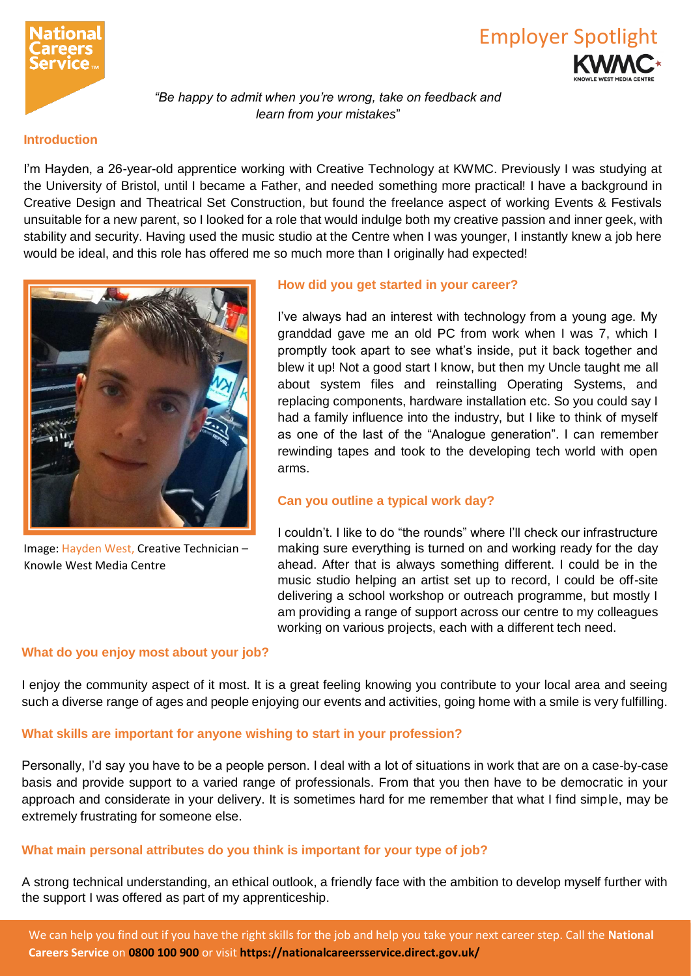



*"Be happy to admit when you're wrong, take on feedback and learn from your mistakes*"

#### **Introduction**

I'm Hayden, a 26-year-old apprentice working with Creative Technology at KWMC. Previously I was studying at the University of Bristol, until I became a Father, and needed something more practical! I have a background in Creative Design and Theatrical Set Construction, but found the freelance aspect of working Events & Festivals unsuitable for a new parent, so I looked for a role that would indulge both my creative passion and inner geek, with stability and security. Having used the music studio at the Centre when I was younger, I instantly knew a job here would be ideal, and this role has offered me so much more than I originally had expected!



Image: Hayden West, Creative Technician – Knowle West Media Centre

### **How did you get started in your career?**

I've always had an interest with technology from a young age. My granddad gave me an old PC from work when I was 7, which I promptly took apart to see what's inside, put it back together and blew it up! Not a good start I know, but then my Uncle taught me all about system files and reinstalling Operating Systems, and replacing components, hardware installation etc. So you could say I had a family influence into the industry, but I like to think of myself as one of the last of the "Analogue generation". I can remember rewinding tapes and took to the developing tech world with open arms.

### **Can you outline a typical work day?**

I couldn't. I like to do "the rounds" where I'll check our infrastructure making sure everything is turned on and working ready for the day ahead. After that is always something different. I could be in the music studio helping an artist set up to record, I could be off-site delivering a school workshop or outreach programme, but mostly I am providing a range of support across our centre to my colleagues working on various projects, each with a different tech need.

#### **What do you enjoy most about your job?**

I enjoy the community aspect of it most. It is a great feeling knowing you contribute to your local area and seeing such a diverse range of ages and people enjoying our events and activities, going home with a smile is very fulfilling.

#### **What skills are important for anyone wishing to start in your profession?**

Personally, I'd say you have to be a people person. I deal with a lot of situations in work that are on a case-by-case basis and provide support to a varied range of professionals. From that you then have to be democratic in your approach and considerate in your delivery. It is sometimes hard for me remember that what I find simple, may be extremely frustrating for someone else.

### **What main personal attributes do you think is important for your type of job?**

A strong technical understanding, an ethical outlook, a friendly face with the ambition to develop myself further with the support I was offered as part of my apprenticeship.

We can help you find out if you have the right skills for the job and help you take your next career step. Call the **National Careers Service** on **0800 100 900** or visit **https://nationalcareersservice.direct.gov.uk/**